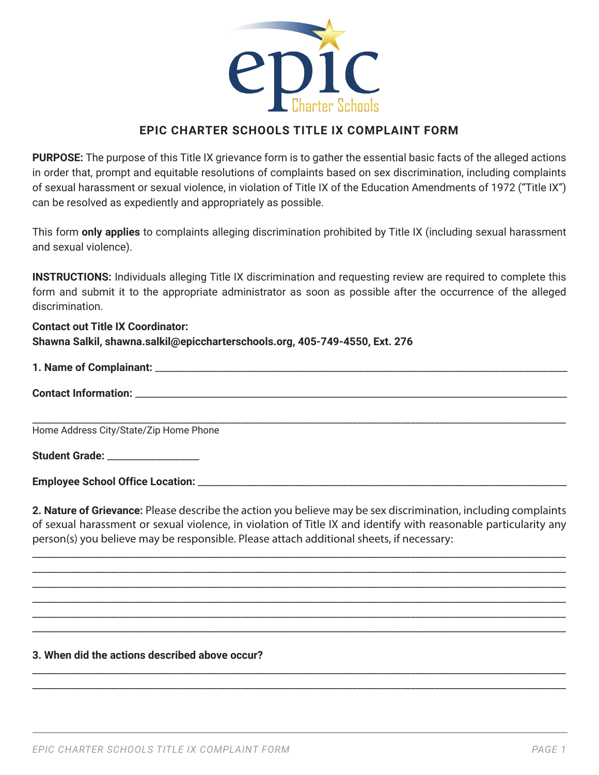

## **EPIC CHARTER SCHOOLS TITLE IX COMPLAINT FORM**

**PURPOSE:** The purpose of this Title IX grievance form is to gather the essential basic facts of the alleged actions in order that, prompt and equitable resolutions of complaints based on sex discrimination, including complaints of sexual harassment or sexual violence, in violation of Title IX of the Education Amendments of 1972 ("Title IX") can be resolved as expediently and appropriately as possible.

This form **only applies** to complaints alleging discrimination prohibited by Title IX (including sexual harassment and sexual violence).

**INSTRUCTIONS:** Individuals alleging Title IX discrimination and requesting review are required to complete this form and submit it to the appropriate administrator as soon as possible after the occurrence of the alleged discrimination.

## **Contact out Title IX Coordinator: Shawna Salkil, shawna.salkil@epiccharterschools.org, 405-749-4550, Ext. 276**

# **1. Name of Complainant:** \_\_\_\_\_\_\_\_\_\_\_\_\_\_\_\_\_\_\_\_\_\_\_\_\_\_\_\_\_\_\_\_\_\_\_\_\_\_\_\_\_\_\_\_\_\_\_\_\_\_\_\_\_\_\_\_\_\_\_\_\_\_\_\_\_\_\_\_\_\_\_\_\_\_\_\_\_\_\_\_\_\_\_\_\_

| <b>Contact Information:</b> |
|-----------------------------|
|-----------------------------|

\_\_\_\_\_\_\_\_\_\_\_\_\_\_\_\_\_\_\_\_\_\_\_\_\_\_\_\_\_\_\_\_\_\_\_\_\_\_\_\_\_\_\_\_\_\_\_\_\_\_\_\_\_\_\_\_\_\_\_\_\_\_\_\_\_\_\_\_\_\_\_\_\_\_\_\_\_\_\_\_\_\_\_\_\_\_\_\_\_\_\_\_\_\_\_\_\_\_\_\_\_\_\_\_\_\_\_\_\_\_ Home Address City/State/Zip Home Phone

Student Grade: **With Student Student** 

**Employee School Office Location:** \_\_\_\_\_\_\_\_\_\_\_\_\_\_\_\_\_\_\_\_\_\_\_\_\_\_\_\_\_\_\_\_\_\_\_\_\_\_\_\_\_\_\_\_\_\_\_\_\_\_\_\_\_\_\_\_\_\_\_\_\_\_\_\_\_\_\_\_\_\_\_\_\_\_\_\_

**2. Nature of Grievance:** Please describe the action you believe may be sex discrimination, including complaints of sexual harassment or sexual violence, in violation of Title IX and identify with reasonable particularity any person(s) you believe may be responsible. Please attach additional sheets, if necessary:

\_\_\_\_\_\_\_\_\_\_\_\_\_\_\_\_\_\_\_\_\_\_\_\_\_\_\_\_\_\_\_\_\_\_\_\_\_\_\_\_\_\_\_\_\_\_\_\_\_\_\_\_\_\_\_\_\_\_\_\_\_\_\_\_\_\_\_\_\_\_\_\_\_\_\_\_\_\_\_\_\_\_\_\_\_\_\_\_\_\_\_\_\_\_\_\_\_\_\_\_\_\_\_\_\_\_\_\_\_\_ \_\_\_\_\_\_\_\_\_\_\_\_\_\_\_\_\_\_\_\_\_\_\_\_\_\_\_\_\_\_\_\_\_\_\_\_\_\_\_\_\_\_\_\_\_\_\_\_\_\_\_\_\_\_\_\_\_\_\_\_\_\_\_\_\_\_\_\_\_\_\_\_\_\_\_\_\_\_\_\_\_\_\_\_\_\_\_\_\_\_\_\_\_\_\_\_\_\_\_\_\_\_\_\_\_\_\_\_\_\_ \_\_\_\_\_\_\_\_\_\_\_\_\_\_\_\_\_\_\_\_\_\_\_\_\_\_\_\_\_\_\_\_\_\_\_\_\_\_\_\_\_\_\_\_\_\_\_\_\_\_\_\_\_\_\_\_\_\_\_\_\_\_\_\_\_\_\_\_\_\_\_\_\_\_\_\_\_\_\_\_\_\_\_\_\_\_\_\_\_\_\_\_\_\_\_\_\_\_\_\_\_\_\_\_\_\_\_\_\_\_ \_\_\_\_\_\_\_\_\_\_\_\_\_\_\_\_\_\_\_\_\_\_\_\_\_\_\_\_\_\_\_\_\_\_\_\_\_\_\_\_\_\_\_\_\_\_\_\_\_\_\_\_\_\_\_\_\_\_\_\_\_\_\_\_\_\_\_\_\_\_\_\_\_\_\_\_\_\_\_\_\_\_\_\_\_\_\_\_\_\_\_\_\_\_\_\_\_\_\_\_\_\_\_\_\_\_\_\_\_\_ \_\_\_\_\_\_\_\_\_\_\_\_\_\_\_\_\_\_\_\_\_\_\_\_\_\_\_\_\_\_\_\_\_\_\_\_\_\_\_\_\_\_\_\_\_\_\_\_\_\_\_\_\_\_\_\_\_\_\_\_\_\_\_\_\_\_\_\_\_\_\_\_\_\_\_\_\_\_\_\_\_\_\_\_\_\_\_\_\_\_\_\_\_\_\_\_\_\_\_\_\_\_\_\_\_\_\_\_\_\_ \_\_\_\_\_\_\_\_\_\_\_\_\_\_\_\_\_\_\_\_\_\_\_\_\_\_\_\_\_\_\_\_\_\_\_\_\_\_\_\_\_\_\_\_\_\_\_\_\_\_\_\_\_\_\_\_\_\_\_\_\_\_\_\_\_\_\_\_\_\_\_\_\_\_\_\_\_\_\_\_\_\_\_\_\_\_\_\_\_\_\_\_\_\_\_\_\_\_\_\_\_\_\_\_\_\_\_\_\_\_

\_\_\_\_\_\_\_\_\_\_\_\_\_\_\_\_\_\_\_\_\_\_\_\_\_\_\_\_\_\_\_\_\_\_\_\_\_\_\_\_\_\_\_\_\_\_\_\_\_\_\_\_\_\_\_\_\_\_\_\_\_\_\_\_\_\_\_\_\_\_\_\_\_\_\_\_\_\_\_\_\_\_\_\_\_\_\_\_\_\_\_\_\_\_\_\_\_\_\_\_\_\_\_\_\_\_\_\_\_\_ \_\_\_\_\_\_\_\_\_\_\_\_\_\_\_\_\_\_\_\_\_\_\_\_\_\_\_\_\_\_\_\_\_\_\_\_\_\_\_\_\_\_\_\_\_\_\_\_\_\_\_\_\_\_\_\_\_\_\_\_\_\_\_\_\_\_\_\_\_\_\_\_\_\_\_\_\_\_\_\_\_\_\_\_\_\_\_\_\_\_\_\_\_\_\_\_\_\_\_\_\_\_\_\_\_\_\_\_\_\_

#### **3. When did the actions described above occur?**